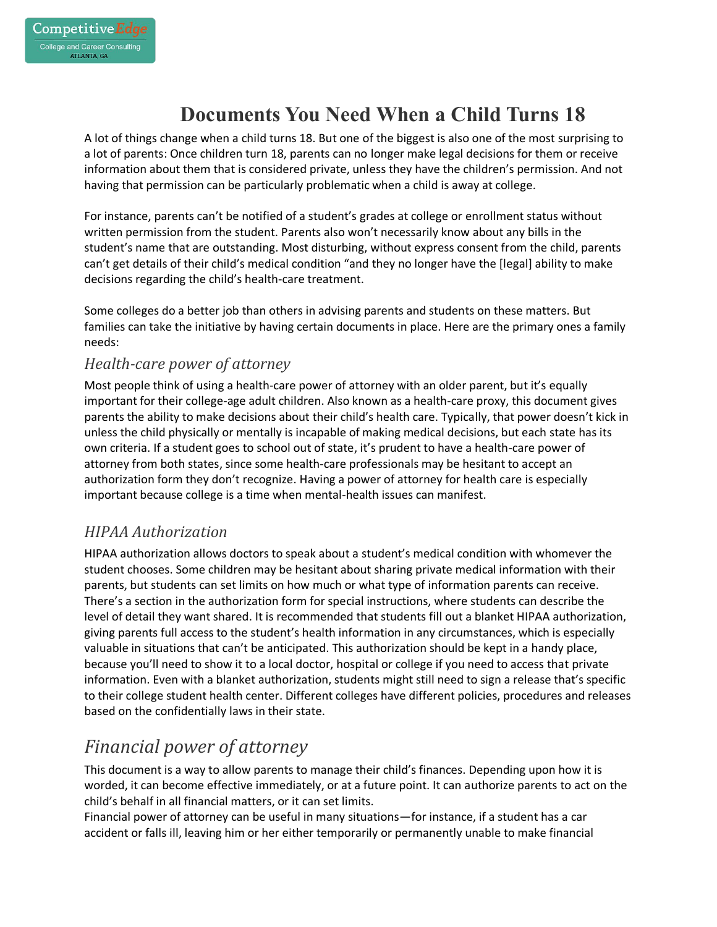# **Documents You Need When a Child Turns 18**

A lot of things change when a child turns 18. But one of the biggest is also one of the most surprising to a lot of parents: Once children turn 18, parents can no longer make legal decisions for them or receive information about them that is considered private, unless they have the children's permission. And not having that permission can be particularly problematic when a child is away at college.

For instance, parents can't be notified of a student's grades at college or enrollment status without written permission from the student. Parents also won't necessarily know about any bills in the student's name that are outstanding. Most disturbing, without express consent from the child, parents can't get details of their child's medical condition "and they no longer have the [legal] ability to make decisions regarding the child's health-care treatment.

Some colleges do a better job than others in advising parents and students on these matters. But families can take the initiative by having certain documents in place. Here are the primary ones a family needs:

#### *Health-care power of attorney*

Most people think of using a health-care power of attorney with an older parent, but it's equally important for their college-age adult children. Also known as a health-care proxy, this document gives parents the ability to make decisions about their child's health care. Typically, that power doesn't kick in unless the child physically or mentally is incapable of making medical decisions, but each state has its own criteria. If a student goes to school out of state, it's prudent to have a health-care power of attorney from both states, since some health-care professionals may be hesitant to accept an authorization form they don't recognize. Having a power of attorney for health care is especially important because college is a time when mental-health issues can manifest.

#### *HIPAA Authorization*

HIPAA authorization allows doctors to speak about a student's medical condition with whomever the student chooses. Some children may be hesitant about sharing private medical information with their parents, but students can set limits on how much or what type of information parents can receive. There's a section in the authorization form for special instructions, where students can describe the level of detail they want shared. It is recommended that students fill out a blanket HIPAA authorization, giving parents full access to the student's health information in any circumstances, which is especially valuable in situations that can't be anticipated. This authorization should be kept in a handy place, because you'll need to show it to a local doctor, hospital or college if you need to access that private information. Even with a blanket authorization, students might still need to sign a release that's specific to their college student health center. Different colleges have different policies, procedures and releases based on the confidentially laws in their state.

## *Financial power of attorney*

This document is a way to allow parents to manage their child's finances. Depending upon how it is worded, it can become effective immediately, or at a future point. It can authorize parents to act on the child's behalf in all financial matters, or it can set limits.

Financial power of attorney can be useful in many situations—for instance, if a student has a car accident or falls ill, leaving him or her either temporarily or permanently unable to make financial